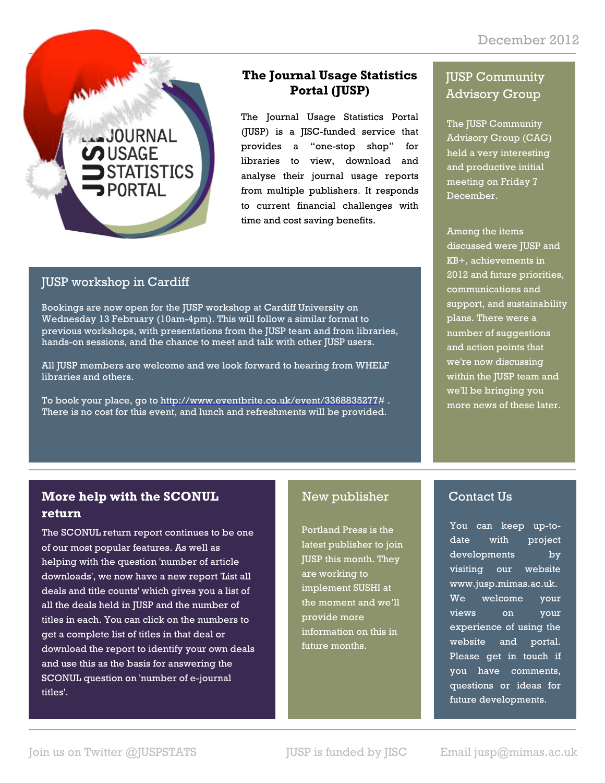

#### **The Journal Usage Statistics Portal (JUSP)**

The Journal Usage Statistics Portal (JUSP) is a JISC-funded service that provides a "one-stop shop" for libraries to view, download and analyse their journal usage reports from multiple publishers. It responds to current financial challenges with time and cost saving benefits.

#### JUSP workshop in Cardiff

Bookings are now open for the JUSP workshop at Cardiff University on Wednesday 13 February (10am-4pm). This will follow a similar format to previous workshops, with presentations from the JUSP team and from libraries, hands-on sessions, and the chance to meet and talk with other JUSP users.

All JUSP members are welcome and we look forward to hearing from WHELF libraries and others.

To book your place, go to http://www.eventbrite.co.uk/event/3368835277# . There is no cost for this event, and lunch and refreshments will be provided.

### JUSP Community Advisory Group

The JUSP Community Advisory Group (CAG) held a very interesting and productive initial meeting on Friday 7 December.

Among the items discussed were JUSP and KB+, achievements in 2012 and future priorities, communications and support, and sustainability plans. There were a number of suggestions and action points that we're now discussing within the JUSP team and we'll be bringing you more news of these later.

# **More help with the SCONUL return**

The SCONUL return report continues to be one of our most popular features. As well as helping with the question 'number of article downloads', we now have a new report 'List all deals and title counts' which gives you a list of all the deals held in JUSP and the number of titles in each. You can click on the numbers to get a complete list of titles in that deal or download the report to identify your own deals and use this as the basis for answering the SCONUL question on 'number of e-journal titles'.

## New publisher

Portland Press is the latest publisher to join JUSP this month. They are working to implement SUSHI at the moment and we'll provide more information on this in future months.

## Contact Us

You can keep up-todate with project developments by visiting our website www.jusp.mimas.ac.uk. We welcome your views on your experience of using the website and portal. Please get in touch if you have comments, questions or ideas for future developments.